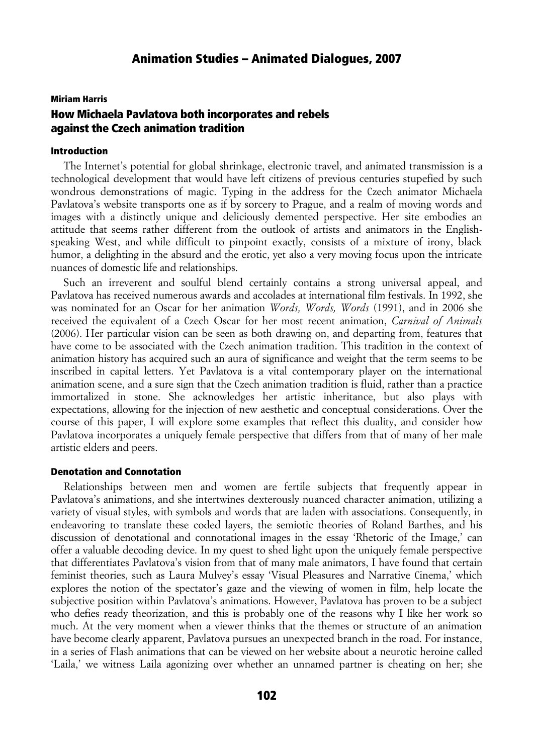#### Miriam Harris

# How Michaela Pavlatova both incorporates and rebels against the Czech animation tradition

### Introduction

The Internet's potential for global shrinkage, electronic travel, and animated transmission is a technological development that would have left citizens of previous centuries stupefied by such wondrous demonstrations of magic. Typing in the address for the Czech animator Michaela Pavlatova's website transports one as if by sorcery to Prague, and a realm of moving words and images with a distinctly unique and deliciously demented perspective. Her site embodies an attitude that seems rather different from the outlook of artists and animators in the Englishspeaking West, and while difficult to pinpoint exactly, consists of a mixture of irony, black humor, a delighting in the absurd and the erotic, yet also a very moving focus upon the intricate nuances of domestic life and relationships.

Such an irreverent and soulful blend certainly contains a strong universal appeal, and Pavlatova has received numerous awards and accolades at international film festivals. In 1992, she was nominated for an Oscar for her animation *Words, Words, Words* (1991), and in 2006 she received the equivalent of a Czech Oscar for her most recent animation, *Carnival of Animals* (2006). Her particular vision can be seen as both drawing on, and departing from, features that have come to be associated with the Czech animation tradition. This tradition in the context of animation history has acquired such an aura of significance and weight that the term seems to be inscribed in capital letters. Yet Pavlatova is a vital contemporary player on the international animation scene, and a sure sign that the Czech animation tradition is fluid, rather than a practice immortalized in stone. She acknowledges her artistic inheritance, but also plays with expectations, allowing for the injection of new aesthetic and conceptual considerations. Over the course of this paper, I will explore some examples that reflect this duality, and consider how Pavlatova incorporates a uniquely female perspective that differs from that of many of her male artistic elders and peers.

#### Denotation and Connotation

Relationships between men and women are fertile subjects that frequently appear in Pavlatova's animations, and she intertwines dexterously nuanced character animation, utilizing a variety of visual styles, with symbols and words that are laden with associations. Consequently, in endeavoring to translate these coded layers, the semiotic theories of Roland Barthes, and his discussion of denotational and connotational images in the essay 'Rhetoric of the Image,' can offer a valuable decoding device. In my quest to shed light upon the uniquely female perspective that differentiates Pavlatova's vision from that of many male animators, I have found that certain feminist theories, such as Laura Mulvey's essay 'Visual Pleasures and Narrative Cinema,' which explores the notion of the spectator's gaze and the viewing of women in film, help locate the subjective position within Pavlatova's animations. However, Pavlatova has proven to be a subject who defies ready theorization, and this is probably one of the reasons why I like her work so much. At the very moment when a viewer thinks that the themes or structure of an animation have become clearly apparent, Pavlatova pursues an unexpected branch in the road. For instance, in a series of Flash animations that can be viewed on her website about a neurotic heroine called 'Laila,' we witness Laila agonizing over whether an unnamed partner is cheating on her; she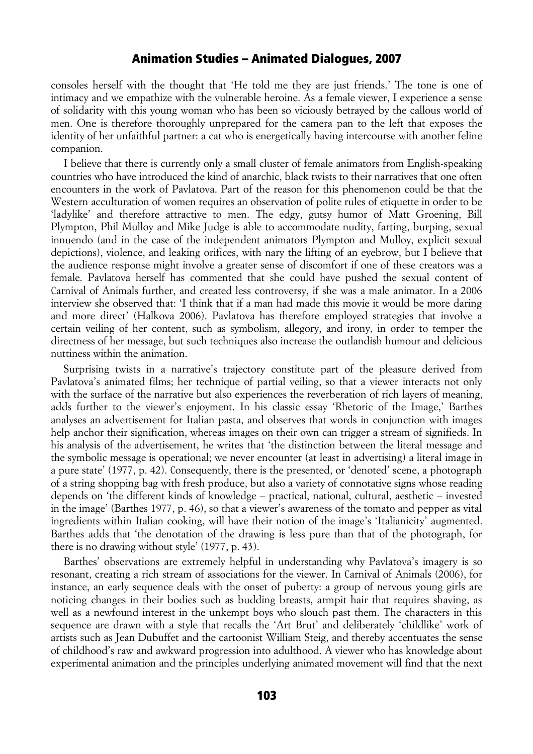consoles herself with the thought that 'He told me they are just friends.' The tone is one of intimacy and we empathize with the vulnerable heroine. As a female viewer, I experience a sense of solidarity with this young woman who has been so viciously betrayed by the callous world of men. One is therefore thoroughly unprepared for the camera pan to the left that exposes the identity of her unfaithful partner: a cat who is energetically having intercourse with another feline companion.

I believe that there is currently only a small cluster of female animators from English-speaking countries who have introduced the kind of anarchic, black twists to their narratives that one often encounters in the work of Pavlatova. Part of the reason for this phenomenon could be that the Western acculturation of women requires an observation of polite rules of etiquette in order to be 'ladylike' and therefore attractive to men. The edgy, gutsy humor of Matt Groening, Bill Plympton, Phil Mulloy and Mike Judge is able to accommodate nudity, farting, burping, sexual innuendo (and in the case of the independent animators Plympton and Mulloy, explicit sexual depictions), violence, and leaking orifices, with nary the lifting of an eyebrow, but I believe that the audience response might involve a greater sense of discomfort if one of these creators was a female. Pavlatova herself has commented that she could have pushed the sexual content of Carnival of Animals further, and created less controversy, if she was a male animator. In a 2006 interview she observed that: 'I think that if a man had made this movie it would be more daring and more direct' (Halkova 2006). Pavlatova has therefore employed strategies that involve a certain veiling of her content, such as symbolism, allegory, and irony, in order to temper the directness of her message, but such techniques also increase the outlandish humour and delicious nuttiness within the animation.

Surprising twists in a narrative's trajectory constitute part of the pleasure derived from Pavlatova's animated films; her technique of partial veiling, so that a viewer interacts not only with the surface of the narrative but also experiences the reverberation of rich layers of meaning, adds further to the viewer's enjoyment. In his classic essay 'Rhetoric of the Image,' Barthes analyses an advertisement for Italian pasta, and observes that words in conjunction with images help anchor their signification, whereas images on their own can trigger a stream of signifieds. In his analysis of the advertisement, he writes that 'the distinction between the literal message and the symbolic message is operational; we never encounter (at least in advertising) a literal image in a pure state' (1977, p. 42). Consequently, there is the presented, or 'denoted' scene, a photograph of a string shopping bag with fresh produce, but also a variety of connotative signs whose reading depends on 'the different kinds of knowledge – practical, national, cultural, aesthetic – invested in the image' (Barthes 1977, p. 46), so that a viewer's awareness of the tomato and pepper as vital ingredients within Italian cooking, will have their notion of the image's 'Italianicity' augmented. Barthes adds that 'the denotation of the drawing is less pure than that of the photograph, for there is no drawing without style' (1977, p. 43).

Barthes' observations are extremely helpful in understanding why Pavlatova's imagery is so resonant, creating a rich stream of associations for the viewer. In Carnival of Animals (2006), for instance, an early sequence deals with the onset of puberty: a group of nervous young girls are noticing changes in their bodies such as budding breasts, armpit hair that requires shaving, as well as a newfound interest in the unkempt boys who slouch past them. The characters in this sequence are drawn with a style that recalls the 'Art Brut' and deliberately 'childlike' work of artists such as Jean Dubuffet and the cartoonist William Steig, and thereby accentuates the sense of childhood's raw and awkward progression into adulthood. A viewer who has knowledge about experimental animation and the principles underlying animated movement will find that the next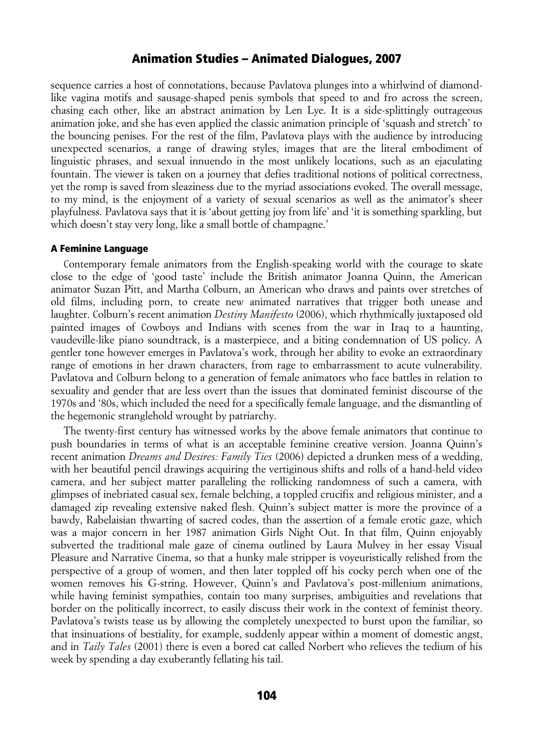sequence carries a host of connotations, because Pavlatova plunges into a whirlwind of diamondlike vagina motifs and sausage-shaped penis symbols that speed to and fro across the screen, chasing each other, like an abstract animation by Len Lye. It is a side-splittingly outrageous animation joke, and she has even applied the classic animation principle of 'squash and stretch' to the bouncing penises. For the rest of the film, Pavlatova plays with the audience by introducing unexpected scenarios, a range of drawing styles, images that are the literal embodiment of linguistic phrases, and sexual innuendo in the most unlikely locations, such as an ejaculating fountain. The viewer is taken on a journey that defies traditional notions of political correctness, yet the romp is saved from sleaziness due to the myriad associations evoked. The overall message, to my mind, is the enjoyment of a variety of sexual scenarios as well as the animator's sheer playfulness. Pavlatova says that it is 'about getting joy from life' and 'it is something sparkling, but which doesn't stay very long, like a small bottle of champagne.'

### A Feminine Language

Contemporary female animators from the English-speaking world with the courage to skate close to the edge of 'good taste' include the British animator Joanna Quinn, the American animator Suzan Pitt, and Martha Colburn, an American who draws and paints over stretches of old films, including porn, to create new animated narratives that trigger both unease and laughter. Colburn's recent animation *Destiny Manifesto* (2006), which rhythmically juxtaposed old painted images of Cowboys and Indians with scenes from the war in Iraq to a haunting, vaudeville-like piano soundtrack, is a masterpiece, and a biting condemnation of US policy. A gentler tone however emerges in Pavlatova's work, through her ability to evoke an extraordinary range of emotions in her drawn characters, from rage to embarrassment to acute vulnerability. Pavlatova and Colburn belong to a generation of female animators who face battles in relation to sexuality and gender that are less overt than the issues that dominated feminist discourse of the 1970s and '80s, which included the need for a specifically female language, and the dismantling of the hegemonic stranglehold wrought by patriarchy.

The twenty-first century has witnessed works by the above female animators that continue to push boundaries in terms of what is an acceptable feminine creative version. Joanna Quinn's recent animation *Dreams and Desires: Family Ties* (2006) depicted a drunken mess of a wedding, with her beautiful pencil drawings acquiring the vertiginous shifts and rolls of a hand-held video camera, and her subject matter paralleling the rollicking randomness of such a camera, with glimpses of inebriated casual sex, female belching, a toppled crucifix and religious minister, and a damaged zip revealing extensive naked flesh. Quinn's subject matter is more the province of a bawdy, Rabelaisian thwarting of sacred codes, than the assertion of a female erotic gaze, which was a major concern in her 1987 animation Girls Night Out. In that film, Quinn enjoyably subverted the traditional male gaze of cinema outlined by Laura Mulvey in her essay Visual Pleasure and Narrative Cinema, so that a hunky male stripper is voyeuristically relished from the perspective of a group of women, and then later toppled off his cocky perch when one of the women removes his G-string. However, Quinn's and Pavlatova's post-millenium animations, while having feminist sympathies, contain too many surprises, ambiguities and revelations that border on the politically incorrect, to easily discuss their work in the context of feminist theory. Pavlatova's twists tease us by allowing the completely unexpected to burst upon the familiar, so that insinuations of bestiality, for example, suddenly appear within a moment of domestic angst, and in *Taily Tales* (2001) there is even a bored cat called Norbert who relieves the tedium of his week by spending a day exuberantly fellating his tail.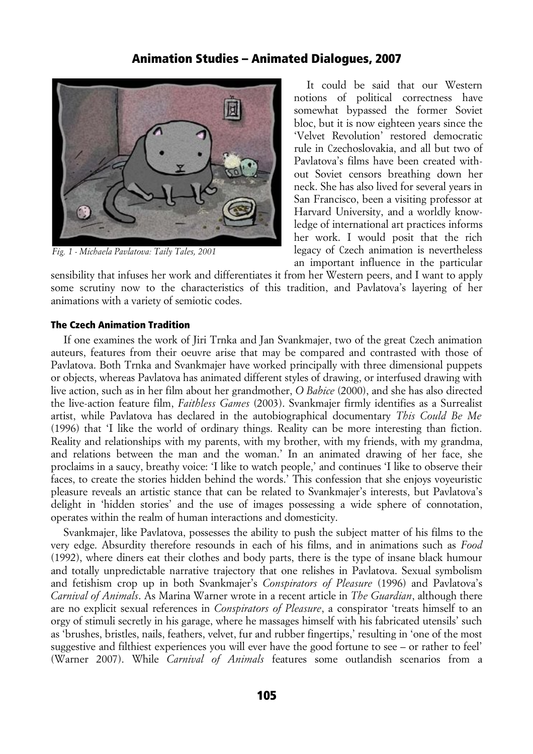

*Fig. 1 - Michaela Pavlatova: Taily Tales, 2001*

It could be said that our Western notions of political correctness have somewhat bypassed the former Soviet bloc, but it is now eighteen years since the 'Velvet Revolution' restored democratic rule in Czechoslovakia, and all but two of Pavlatova's films have been created without Soviet censors breathing down her neck. She has also lived for several years in San Francisco, been a visiting professor at Harvard University, and a worldly knowledge of international art practices informs her work. I would posit that the rich legacy of Czech animation is nevertheless an important influence in the particular

sensibility that infuses her work and differentiates it from her Western peers, and I want to apply some scrutiny now to the characteristics of this tradition, and Pavlatova's layering of her animations with a variety of semiotic codes.

### The Czech Animation Tradition

If one examines the work of Jiri Trnka and Jan Svankmajer, two of the great Czech animation auteurs, features from their oeuvre arise that may be compared and contrasted with those of Pavlatova. Both Trnka and Svankmajer have worked principally with three dimensional puppets or objects, whereas Pavlatova has animated different styles of drawing, or interfused drawing with live action, such as in her film about her grandmother, *O Babice* (2000), and she has also directed the live-action feature film, *Faithless Games* (2003). Svankmajer firmly identifies as a Surrealist artist, while Pavlatova has declared in the autobiographical documentary *This Could Be Me* (1996) that 'I like the world of ordinary things. Reality can be more interesting than fiction. Reality and relationships with my parents, with my brother, with my friends, with my grandma, and relations between the man and the woman.' In an animated drawing of her face, she proclaims in a saucy, breathy voice: 'I like to watch people,' and continues 'I like to observe their faces, to create the stories hidden behind the words.' This confession that she enjoys voyeuristic pleasure reveals an artistic stance that can be related to Svankmajer's interests, but Pavlatova's delight in 'hidden stories' and the use of images possessing a wide sphere of connotation, operates within the realm of human interactions and domesticity.

Svankmajer, like Pavlatova, possesses the ability to push the subject matter of his films to the very edge. Absurdity therefore resounds in each of his films, and in animations such as *Food* (1992), where diners eat their clothes and body parts, there is the type of insane black humour and totally unpredictable narrative trajectory that one relishes in Pavlatova. Sexual symbolism and fetishism crop up in both Svankmajer's *Conspirators of Pleasure* (1996) and Pavlatova's *Carnival of Animals*. As Marina Warner wrote in a recent article in *The Guardian*, although there are no explicit sexual references in *Conspirators of Pleasure*, a conspirator 'treats himself to an orgy of stimuli secretly in his garage, where he massages himself with his fabricated utensils' such as 'brushes, bristles, nails, feathers, velvet, fur and rubber fingertips,' resulting in 'one of the most suggestive and filthiest experiences you will ever have the good fortune to see – or rather to feel' (Warner 2007). While *Carnival of Animals* features some outlandish scenarios from a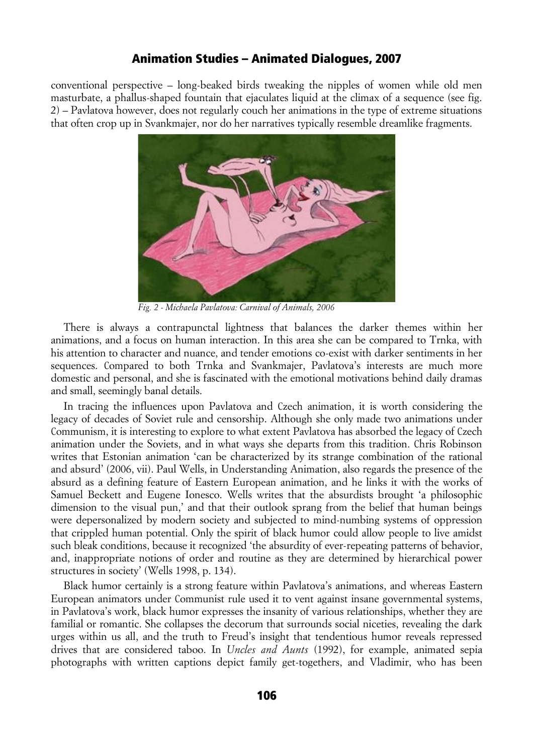conventional perspective – long-beaked birds tweaking the nipples of women while old men masturbate, a phallus-shaped fountain that ejaculates liquid at the climax of a sequence (see fig. 2) – Pavlatova however, does not regularly couch her animations in the type of extreme situations that often crop up in Svankmajer, nor do her narratives typically resemble dreamlike fragments.



*Fig. 2 - Michaela Pavlatova: Carnival of Animals, 2006*

There is always a contrapunctal lightness that balances the darker themes within her animations, and a focus on human interaction. In this area she can be compared to Trnka, with his attention to character and nuance, and tender emotions co-exist with darker sentiments in her sequences. Compared to both Trnka and Svankmajer, Pavlatova's interests are much more domestic and personal, and she is fascinated with the emotional motivations behind daily dramas and small, seemingly banal details.

In tracing the influences upon Pavlatova and Czech animation, it is worth considering the legacy of decades of Soviet rule and censorship. Although she only made two animations under Communism, it is interesting to explore to what extent Pavlatova has absorbed the legacy of Czech animation under the Soviets, and in what ways she departs from this tradition. Chris Robinson writes that Estonian animation 'can be characterized by its strange combination of the rational and absurd' (2006, vii). Paul Wells, in Understanding Animation, also regards the presence of the absurd as a defining feature of Eastern European animation, and he links it with the works of Samuel Beckett and Eugene Ionesco. Wells writes that the absurdists brought 'a philosophic dimension to the visual pun,' and that their outlook sprang from the belief that human beings were depersonalized by modern society and subjected to mind-numbing systems of oppression that crippled human potential. Only the spirit of black humor could allow people to live amidst such bleak conditions, because it recognized 'the absurdity of ever-repeating patterns of behavior, and, inappropriate notions of order and routine as they are determined by hierarchical power structures in society' (Wells 1998, p. 134).

Black humor certainly is a strong feature within Pavlatova's animations, and whereas Eastern European animators under Communist rule used it to vent against insane governmental systems, in Pavlatova's work, black humor expresses the insanity of various relationships, whether they are familial or romantic. She collapses the decorum that surrounds social niceties, revealing the dark urges within us all, and the truth to Freud's insight that tendentious humor reveals repressed drives that are considered taboo. In *Uncles and Aunts* (1992), for example, animated sepia photographs with written captions depict family get-togethers, and Vladimir, who has been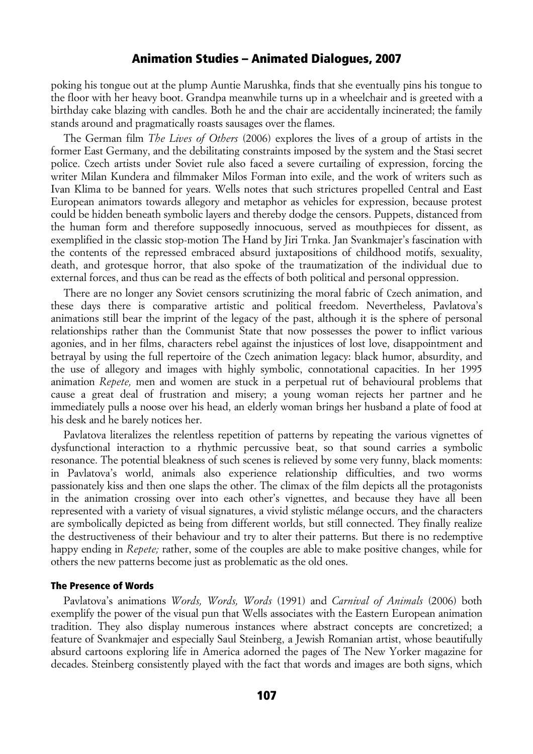poking his tongue out at the plump Auntie Marushka, finds that she eventually pins his tongue to the floor with her heavy boot. Grandpa meanwhile turns up in a wheelchair and is greeted with a birthday cake blazing with candles. Both he and the chair are accidentally incinerated; the family stands around and pragmatically roasts sausages over the flames.

The German film *The Lives of Others* (2006) explores the lives of a group of artists in the former East Germany, and the debilitating constraints imposed by the system and the Stasi secret police. Czech artists under Soviet rule also faced a severe curtailing of expression, forcing the writer Milan Kundera and filmmaker Milos Forman into exile, and the work of writers such as Ivan Klima to be banned for years. Wells notes that such strictures propelled Central and East European animators towards allegory and metaphor as vehicles for expression, because protest could be hidden beneath symbolic layers and thereby dodge the censors. Puppets, distanced from the human form and therefore supposedly innocuous, served as mouthpieces for dissent, as exemplified in the classic stop-motion The Hand by Jiri Trnka. Jan Svankmajer's fascination with the contents of the repressed embraced absurd juxtapositions of childhood motifs, sexuality, death, and grotesque horror, that also spoke of the traumatization of the individual due to external forces, and thus can be read as the effects of both political and personal oppression.

There are no longer any Soviet censors scrutinizing the moral fabric of Czech animation, and these days there is comparative artistic and political freedom. Nevertheless, Pavlatova's animations still bear the imprint of the legacy of the past, although it is the sphere of personal relationships rather than the Communist State that now possesses the power to inflict various agonies, and in her films, characters rebel against the injustices of lost love, disappointment and betrayal by using the full repertoire of the Czech animation legacy: black humor, absurdity, and the use of allegory and images with highly symbolic, connotational capacities. In her 1995 animation *Repete,* men and women are stuck in a perpetual rut of behavioural problems that cause a great deal of frustration and misery; a young woman rejects her partner and he immediately pulls a noose over his head, an elderly woman brings her husband a plate of food at his desk and he barely notices her.

Pavlatova literalizes the relentless repetition of patterns by repeating the various vignettes of dysfunctional interaction to a rhythmic percussive beat, so that sound carries a symbolic resonance. The potential bleakness of such scenes is relieved by some very funny, black moments: in Pavlatova's world, animals also experience relationship difficulties, and two worms passionately kiss and then one slaps the other. The climax of the film depicts all the protagonists in the animation crossing over into each other's vignettes, and because they have all been represented with a variety of visual signatures, a vivid stylistic mélange occurs, and the characters are symbolically depicted as being from different worlds, but still connected. They finally realize the destructiveness of their behaviour and try to alter their patterns. But there is no redemptive happy ending in *Repete;* rather, some of the couples are able to make positive changes, while for others the new patterns become just as problematic as the old ones.

### The Presence of Words

Pavlatova's animations *Words, Words, Words* (1991) and *Carnival of Animals* (2006) both exemplify the power of the visual pun that Wells associates with the Eastern European animation tradition. They also display numerous instances where abstract concepts are concretized; a feature of Svankmajer and especially Saul Steinberg, a Jewish Romanian artist, whose beautifully absurd cartoons exploring life in America adorned the pages of The New Yorker magazine for decades. Steinberg consistently played with the fact that words and images are both signs, which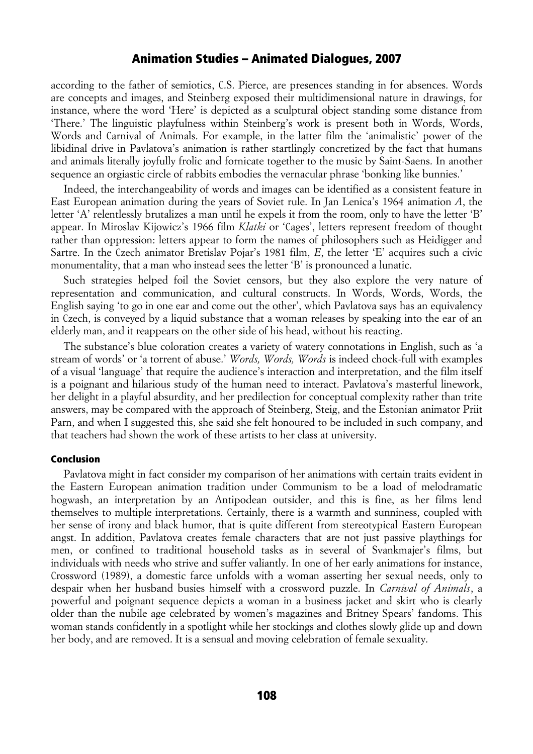according to the father of semiotics, C.S. Pierce, are presences standing in for absences. Words are concepts and images, and Steinberg exposed their multidimensional nature in drawings, for instance, where the word 'Here' is depicted as a sculptural object standing some distance from 'There.' The linguistic playfulness within Steinberg's work is present both in Words, Words, Words and Carnival of Animals. For example, in the latter film the 'animalistic' power of the libidinal drive in Pavlatova's animation is rather startlingly concretized by the fact that humans and animals literally joyfully frolic and fornicate together to the music by Saint-Saens. In another sequence an orgiastic circle of rabbits embodies the vernacular phrase 'bonking like bunnies.'

Indeed, the interchangeability of words and images can be identified as a consistent feature in East European animation during the years of Soviet rule. In Jan Lenica's 1964 animation *A*, the letter 'A' relentlessly brutalizes a man until he expels it from the room, only to have the letter 'B' appear. In Miroslav Kijowicz's 1966 film *Klatki* or 'Cages', letters represent freedom of thought rather than oppression: letters appear to form the names of philosophers such as Heidigger and Sartre. In the Czech animator Bretislav Pojar's 1981 film, *E*, the letter 'E' acquires such a civic monumentality, that a man who instead sees the letter 'B' is pronounced a lunatic.

Such strategies helped foil the Soviet censors, but they also explore the very nature of representation and communication, and cultural constructs. In Words, Words, Words, the English saying 'to go in one ear and come out the other', which Pavlatova says has an equivalency in Czech, is conveyed by a liquid substance that a woman releases by speaking into the ear of an elderly man, and it reappears on the other side of his head, without his reacting.

The substance's blue coloration creates a variety of watery connotations in English, such as 'a stream of words' or 'a torrent of abuse.' *Words, Words, Words* is indeed chock-full with examples of a visual 'language' that require the audience's interaction and interpretation, and the film itself is a poignant and hilarious study of the human need to interact. Pavlatova's masterful linework, her delight in a playful absurdity, and her predilection for conceptual complexity rather than trite answers, may be compared with the approach of Steinberg, Steig, and the Estonian animator Priit Parn, and when I suggested this, she said she felt honoured to be included in such company, and that teachers had shown the work of these artists to her class at university.

#### Conclusion

Pavlatova might in fact consider my comparison of her animations with certain traits evident in the Eastern European animation tradition under Communism to be a load of melodramatic hogwash, an interpretation by an Antipodean outsider, and this is fine, as her films lend themselves to multiple interpretations. Certainly, there is a warmth and sunniness, coupled with her sense of irony and black humor, that is quite different from stereotypical Eastern European angst. In addition, Pavlatova creates female characters that are not just passive playthings for men, or confined to traditional household tasks as in several of Svankmajer's films, but individuals with needs who strive and suffer valiantly. In one of her early animations for instance, Crossword (1989), a domestic farce unfolds with a woman asserting her sexual needs, only to despair when her husband busies himself with a crossword puzzle. In *Carnival of Animals*, a powerful and poignant sequence depicts a woman in a business jacket and skirt who is clearly older than the nubile age celebrated by women's magazines and Britney Spears' fandoms. This woman stands confidently in a spotlight while her stockings and clothes slowly glide up and down her body, and are removed. It is a sensual and moving celebration of female sexuality.